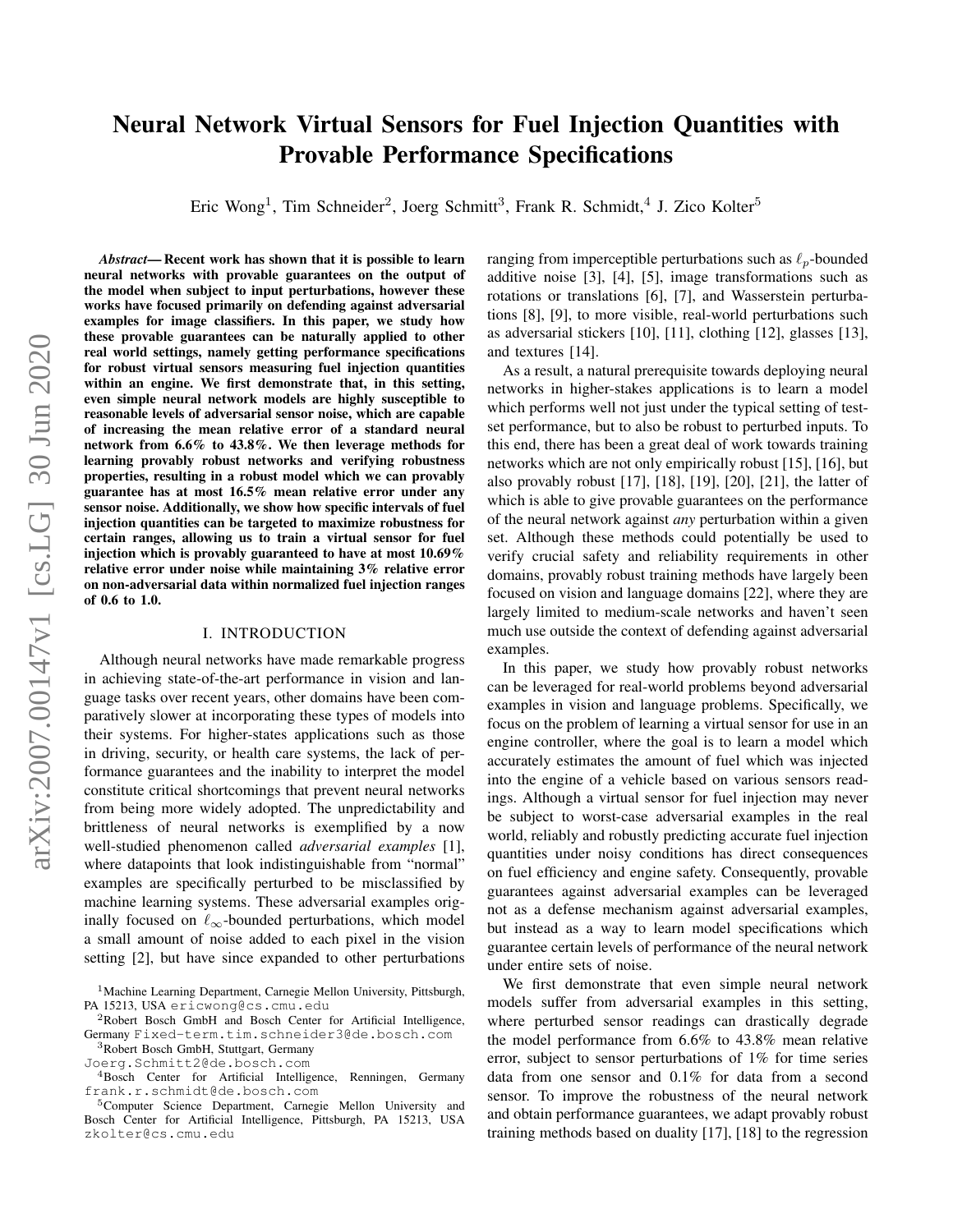# Neural Network Virtual Sensors for Fuel Injection Quantities with Provable Performance Specifications

Eric Wong<sup>1</sup>, Tim Schneider<sup>2</sup>, Joerg Schmitt<sup>3</sup>, Frank R. Schmidt,<sup>4</sup> J. Zico Kolter<sup>5</sup>

*Abstract*— Recent work has shown that it is possible to learn neural networks with provable guarantees on the output of the model when subject to input perturbations, however these works have focused primarily on defending against adversarial examples for image classifiers. In this paper, we study how these provable guarantees can be naturally applied to other real world settings, namely getting performance specifications for robust virtual sensors measuring fuel injection quantities within an engine. We first demonstrate that, in this setting, even simple neural network models are highly susceptible to reasonable levels of adversarial sensor noise, which are capable of increasing the mean relative error of a standard neural network from 6.6% to 43.8%. We then leverage methods for learning provably robust networks and verifying robustness properties, resulting in a robust model which we can provably guarantee has at most 16.5% mean relative error under any sensor noise. Additionally, we show how specific intervals of fuel injection quantities can be targeted to maximize robustness for certain ranges, allowing us to train a virtual sensor for fuel injection which is provably guaranteed to have at most 10.69% relative error under noise while maintaining 3% relative error on non-adversarial data within normalized fuel injection ranges of 0.6 to 1.0.

#### I. INTRODUCTION

Although neural networks have made remarkable progress in achieving state-of-the-art performance in vision and language tasks over recent years, other domains have been comparatively slower at incorporating these types of models into their systems. For higher-states applications such as those in driving, security, or health care systems, the lack of performance guarantees and the inability to interpret the model constitute critical shortcomings that prevent neural networks from being more widely adopted. The unpredictability and brittleness of neural networks is exemplified by a now well-studied phenomenon called *adversarial examples* [1], where datapoints that look indistinguishable from "normal" examples are specifically perturbed to be misclassified by machine learning systems. These adversarial examples originally focused on  $\ell_{\infty}$ -bounded perturbations, which model a small amount of noise added to each pixel in the vision setting [2], but have since expanded to other perturbations ranging from imperceptible perturbations such as  $\ell_p$ -bounded additive noise [3], [4], [5], image transformations such as rotations or translations [6], [7], and Wasserstein perturbations [8], [9], to more visible, real-world perturbations such as adversarial stickers [10], [11], clothing [12], glasses [13], and textures [14].

As a result, a natural prerequisite towards deploying neural networks in higher-stakes applications is to learn a model which performs well not just under the typical setting of testset performance, but to also be robust to perturbed inputs. To this end, there has been a great deal of work towards training networks which are not only empirically robust [15], [16], but also provably robust [17], [18], [19], [20], [21], the latter of which is able to give provable guarantees on the performance of the neural network against *any* perturbation within a given set. Although these methods could potentially be used to verify crucial safety and reliability requirements in other domains, provably robust training methods have largely been focused on vision and language domains [22], where they are largely limited to medium-scale networks and haven't seen much use outside the context of defending against adversarial examples.

In this paper, we study how provably robust networks can be leveraged for real-world problems beyond adversarial examples in vision and language problems. Specifically, we focus on the problem of learning a virtual sensor for use in an engine controller, where the goal is to learn a model which accurately estimates the amount of fuel which was injected into the engine of a vehicle based on various sensors readings. Although a virtual sensor for fuel injection may never be subject to worst-case adversarial examples in the real world, reliably and robustly predicting accurate fuel injection quantities under noisy conditions has direct consequences on fuel efficiency and engine safety. Consequently, provable guarantees against adversarial examples can be leveraged not as a defense mechanism against adversarial examples, but instead as a way to learn model specifications which guarantee certain levels of performance of the neural network under entire sets of noise.

We first demonstrate that even simple neural network models suffer from adversarial examples in this setting, where perturbed sensor readings can drastically degrade the model performance from 6.6% to 43.8% mean relative error, subject to sensor perturbations of 1% for time series data from one sensor and 0.1% for data from a second sensor. To improve the robustness of the neural network and obtain performance guarantees, we adapt provably robust training methods based on duality [17], [18] to the regression

<sup>1</sup>Machine Learning Department, Carnegie Mellon University, Pittsburgh, PA 15213, USA ericwong@cs.cmu.edu

<sup>&</sup>lt;sup>2</sup>Robert Bosch GmbH and Bosch Center for Artificial Intelligence, Germany Fixed-term.tim.schneider3@de.bosch.com

<sup>3</sup>Robert Bosch GmbH, Stuttgart, Germany

Joerg.Schmitt2@de.bosch.com

<sup>&</sup>lt;sup>4</sup>Bosch Center for Artificial Intelligence, Renningen, Germany frank.r.schmidt@de.bosch.com

<sup>&</sup>lt;sup>5</sup>Computer Science Department, Carnegie Mellon University and Bosch Center for Artificial Intelligence, Pittsburgh, PA 15213, USA zkolter@cs.cmu.edu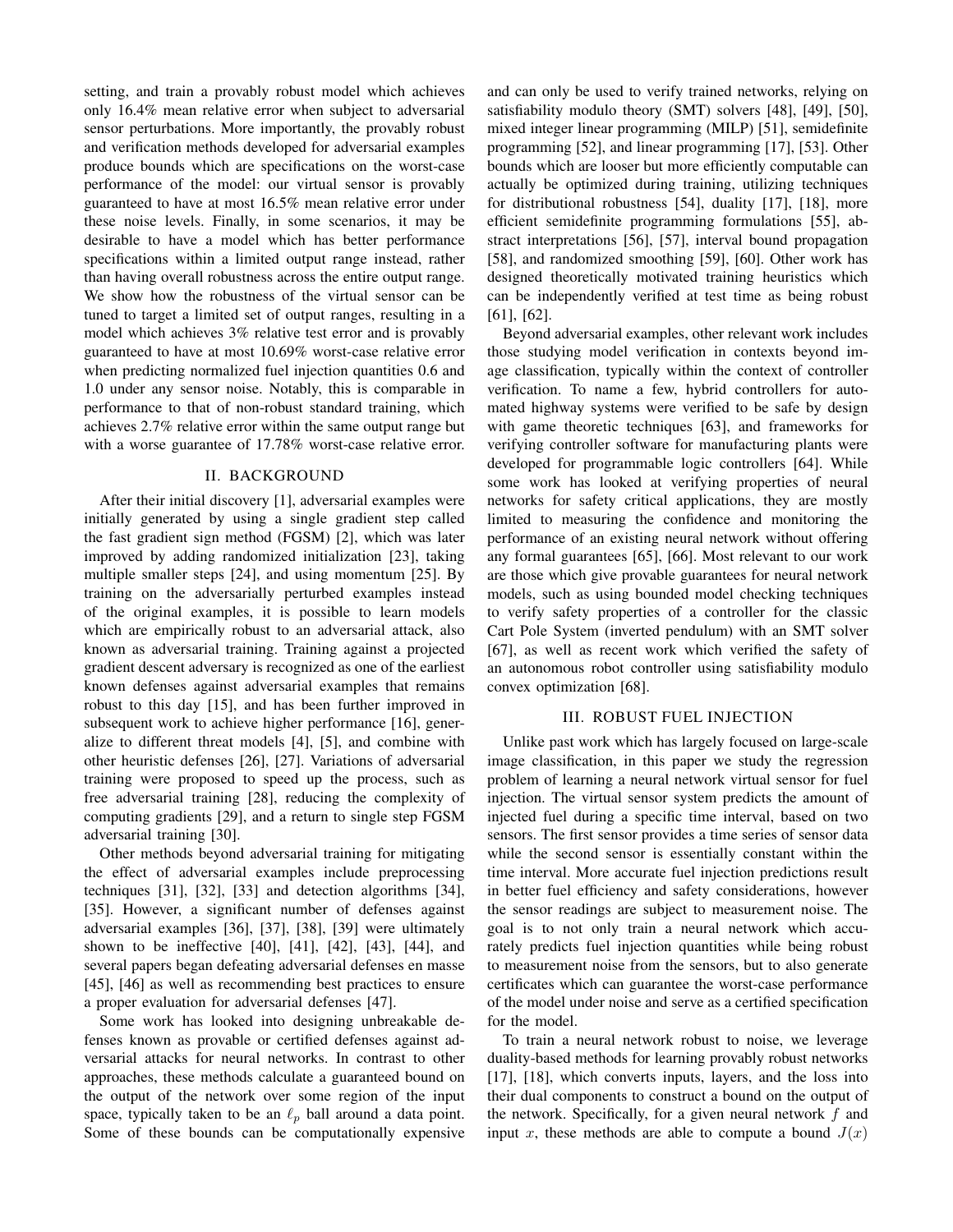setting, and train a provably robust model which achieves only 16.4% mean relative error when subject to adversarial sensor perturbations. More importantly, the provably robust and verification methods developed for adversarial examples produce bounds which are specifications on the worst-case performance of the model: our virtual sensor is provably guaranteed to have at most 16.5% mean relative error under these noise levels. Finally, in some scenarios, it may be desirable to have a model which has better performance specifications within a limited output range instead, rather than having overall robustness across the entire output range. We show how the robustness of the virtual sensor can be tuned to target a limited set of output ranges, resulting in a model which achieves 3% relative test error and is provably guaranteed to have at most 10.69% worst-case relative error when predicting normalized fuel injection quantities 0.6 and 1.0 under any sensor noise. Notably, this is comparable in performance to that of non-robust standard training, which achieves 2.7% relative error within the same output range but with a worse guarantee of 17.78% worst-case relative error.

## II. BACKGROUND

After their initial discovery [1], adversarial examples were initially generated by using a single gradient step called the fast gradient sign method (FGSM) [2], which was later improved by adding randomized initialization [23], taking multiple smaller steps [24], and using momentum [25]. By training on the adversarially perturbed examples instead of the original examples, it is possible to learn models which are empirically robust to an adversarial attack, also known as adversarial training. Training against a projected gradient descent adversary is recognized as one of the earliest known defenses against adversarial examples that remains robust to this day [15], and has been further improved in subsequent work to achieve higher performance [16], generalize to different threat models [4], [5], and combine with other heuristic defenses [26], [27]. Variations of adversarial training were proposed to speed up the process, such as free adversarial training [28], reducing the complexity of computing gradients [29], and a return to single step FGSM adversarial training [30].

Other methods beyond adversarial training for mitigating the effect of adversarial examples include preprocessing techniques [31], [32], [33] and detection algorithms [34], [35]. However, a significant number of defenses against adversarial examples [36], [37], [38], [39] were ultimately shown to be ineffective [40], [41], [42], [43], [44], and several papers began defeating adversarial defenses en masse [45], [46] as well as recommending best practices to ensure a proper evaluation for adversarial defenses [47].

Some work has looked into designing unbreakable defenses known as provable or certified defenses against adversarial attacks for neural networks. In contrast to other approaches, these methods calculate a guaranteed bound on the output of the network over some region of the input space, typically taken to be an  $\ell_p$  ball around a data point. Some of these bounds can be computationally expensive

and can only be used to verify trained networks, relying on satisfiability modulo theory (SMT) solvers [48], [49], [50], mixed integer linear programming (MILP) [51], semidefinite programming [52], and linear programming [17], [53]. Other bounds which are looser but more efficiently computable can actually be optimized during training, utilizing techniques for distributional robustness [54], duality [17], [18], more efficient semidefinite programming formulations [55], abstract interpretations [56], [57], interval bound propagation [58], and randomized smoothing [59], [60]. Other work has designed theoretically motivated training heuristics which can be independently verified at test time as being robust [61], [62].

Beyond adversarial examples, other relevant work includes those studying model verification in contexts beyond image classification, typically within the context of controller verification. To name a few, hybrid controllers for automated highway systems were verified to be safe by design with game theoretic techniques [63], and frameworks for verifying controller software for manufacturing plants were developed for programmable logic controllers [64]. While some work has looked at verifying properties of neural networks for safety critical applications, they are mostly limited to measuring the confidence and monitoring the performance of an existing neural network without offering any formal guarantees [65], [66]. Most relevant to our work are those which give provable guarantees for neural network models, such as using bounded model checking techniques to verify safety properties of a controller for the classic Cart Pole System (inverted pendulum) with an SMT solver [67], as well as recent work which verified the safety of an autonomous robot controller using satisfiability modulo convex optimization [68].

# III. ROBUST FUEL INJECTION

<span id="page-1-0"></span>Unlike past work which has largely focused on large-scale image classification, in this paper we study the regression problem of learning a neural network virtual sensor for fuel injection. The virtual sensor system predicts the amount of injected fuel during a specific time interval, based on two sensors. The first sensor provides a time series of sensor data while the second sensor is essentially constant within the time interval. More accurate fuel injection predictions result in better fuel efficiency and safety considerations, however the sensor readings are subject to measurement noise. The goal is to not only train a neural network which accurately predicts fuel injection quantities while being robust to measurement noise from the sensors, but to also generate certificates which can guarantee the worst-case performance of the model under noise and serve as a certified specification for the model.

To train a neural network robust to noise, we leverage duality-based methods for learning provably robust networks [17], [18], which converts inputs, layers, and the loss into their dual components to construct a bound on the output of the network. Specifically, for a given neural network  $f$  and input x, these methods are able to compute a bound  $J(x)$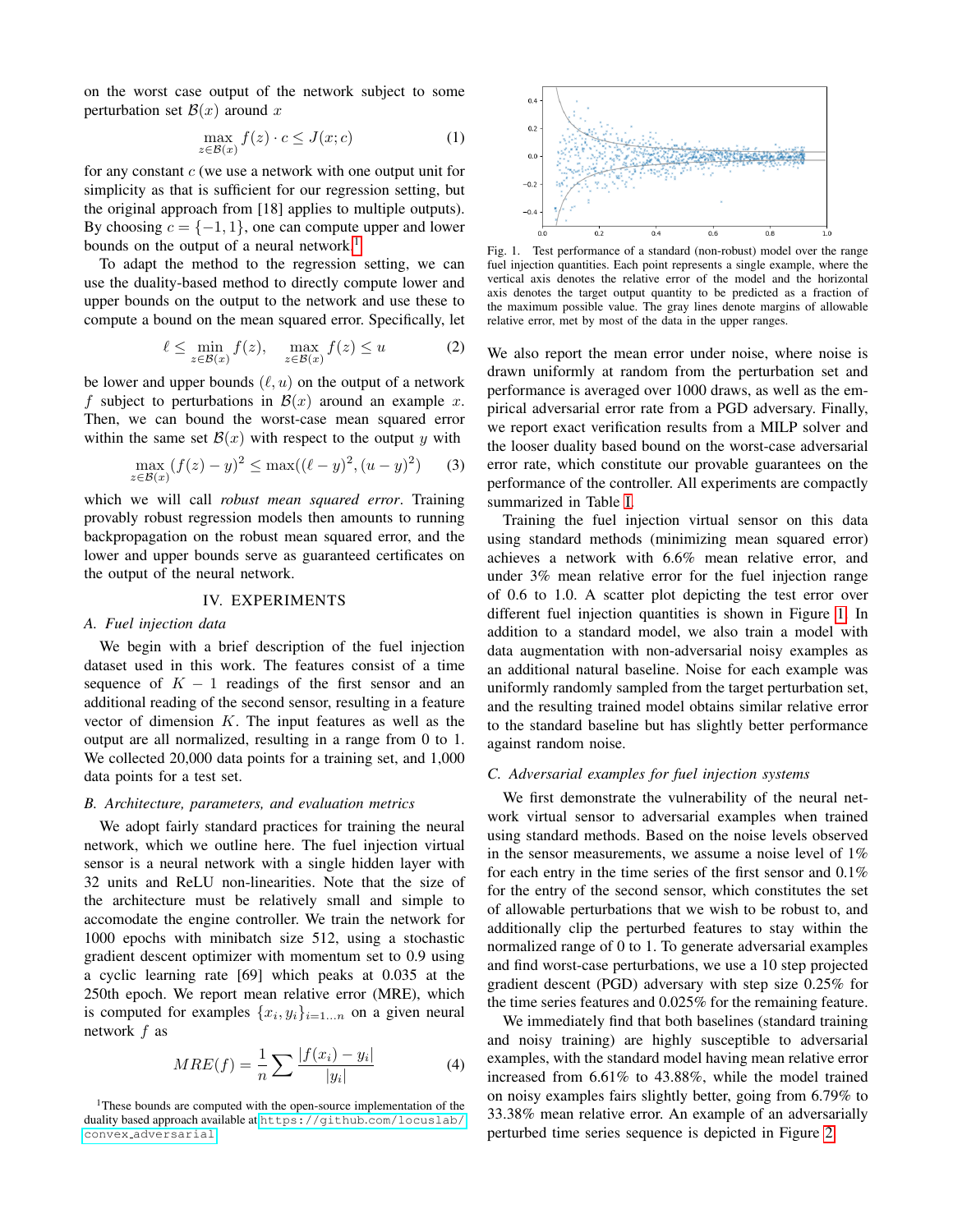on the worst case output of the network subject to some perturbation set  $\mathcal{B}(x)$  around x

$$
\max_{z \in \mathcal{B}(x)} f(z) \cdot c \le J(x; c)
$$
 (1)

for any constant  $c$  (we use a network with one output unit for simplicity as that is sufficient for our regression setting, but the original approach from [18] applies to multiple outputs). By choosing  $c = \{-1, 1\}$ , one can compute upper and lower bounds on the output of a neural network.<sup>[1](#page-2-0)</sup>

To adapt the method to the regression setting, we can use the duality-based method to directly compute lower and upper bounds on the output to the network and use these to compute a bound on the mean squared error. Specifically, let

$$
\ell \le \min_{z \in \mathcal{B}(x)} f(z), \quad \max_{z \in \mathcal{B}(x)} f(z) \le u \tag{2}
$$

be lower and upper bounds  $(\ell, u)$  on the output of a network f subject to perturbations in  $\mathcal{B}(x)$  around an example x. Then, we can bound the worst-case mean squared error within the same set  $\mathcal{B}(x)$  with respect to the output y with

$$
\max_{z \in \mathcal{B}(x)} (f(z) - y)^2 \le \max((\ell - y)^2, (u - y)^2) \tag{3}
$$

which we will call *robust mean squared error*. Training provably robust regression models then amounts to running backpropagation on the robust mean squared error, and the lower and upper bounds serve as guaranteed certificates on the output of the neural network.

# IV. EXPERIMENTS

## *A. Fuel injection data*

We begin with a brief description of the fuel injection dataset used in this work. The features consist of a time sequence of  $K - 1$  readings of the first sensor and an additional reading of the second sensor, resulting in a feature vector of dimension  $K$ . The input features as well as the output are all normalized, resulting in a range from 0 to 1. We collected 20,000 data points for a training set, and 1,000 data points for a test set.

#### *B. Architecture, parameters, and evaluation metrics*

We adopt fairly standard practices for training the neural network, which we outline here. The fuel injection virtual sensor is a neural network with a single hidden layer with 32 units and ReLU non-linearities. Note that the size of the architecture must be relatively small and simple to accomodate the engine controller. We train the network for 1000 epochs with minibatch size 512, using a stochastic gradient descent optimizer with momentum set to 0.9 using a cyclic learning rate [69] which peaks at 0.035 at the 250th epoch. We report mean relative error (MRE), which is computed for examples  $\{x_i, y_i\}_{i=1...n}$  on a given neural network f as

$$
MRE(f) = \frac{1}{n} \sum \frac{|f(x_i) - y_i|}{|y_i|}
$$
 (4)



<span id="page-2-1"></span>Fig. 1. Test performance of a standard (non-robust) model over the range fuel injection quantities. Each point represents a single example, where the vertical axis denotes the relative error of the model and the horizontal axis denotes the target output quantity to be predicted as a fraction of the maximum possible value. The gray lines denote margins of allowable relative error, met by most of the data in the upper ranges.

We also report the mean error under noise, where noise is drawn uniformly at random from the perturbation set and performance is averaged over 1000 draws, as well as the empirical adversarial error rate from a PGD adversary. Finally, we report exact verification results from a MILP solver and the looser duality based bound on the worst-case adversarial error rate, which constitute our provable guarantees on the performance of the controller. All experiments are compactly summarized in Table [I.](#page-3-0)

Training the fuel injection virtual sensor on this data using standard methods (minimizing mean squared error) achieves a network with 6.6% mean relative error, and under 3% mean relative error for the fuel injection range of 0.6 to 1.0. A scatter plot depicting the test error over different fuel injection quantities is shown in Figure [1.](#page-2-1) In addition to a standard model, we also train a model with data augmentation with non-adversarial noisy examples as an additional natural baseline. Noise for each example was uniformly randomly sampled from the target perturbation set, and the resulting trained model obtains similar relative error to the standard baseline but has slightly better performance against random noise.

#### *C. Adversarial examples for fuel injection systems*

We first demonstrate the vulnerability of the neural network virtual sensor to adversarial examples when trained using standard methods. Based on the noise levels observed in the sensor measurements, we assume a noise level of 1% for each entry in the time series of the first sensor and 0.1% for the entry of the second sensor, which constitutes the set of allowable perturbations that we wish to be robust to, and additionally clip the perturbed features to stay within the normalized range of 0 to 1. To generate adversarial examples and find worst-case perturbations, we use a 10 step projected gradient descent (PGD) adversary with step size 0.25% for the time series features and 0.025% for the remaining feature.

We immediately find that both baselines (standard training and noisy training) are highly susceptible to adversarial examples, with the standard model having mean relative error increased from 6.61% to 43.88%, while the model trained on noisy examples fairs slightly better, going from 6.79% to 33.38% mean relative error. An example of an adversarially perturbed time series sequence is depicted in Figure [2.](#page-3-1)

<span id="page-2-0"></span><sup>&</sup>lt;sup>1</sup>These bounds are computed with the open-source implementation of the duality based approach available at [https://github](https://github.com/locuslab/convex_adversarial).com/locuslab/ convex [adversarial](https://github.com/locuslab/convex_adversarial)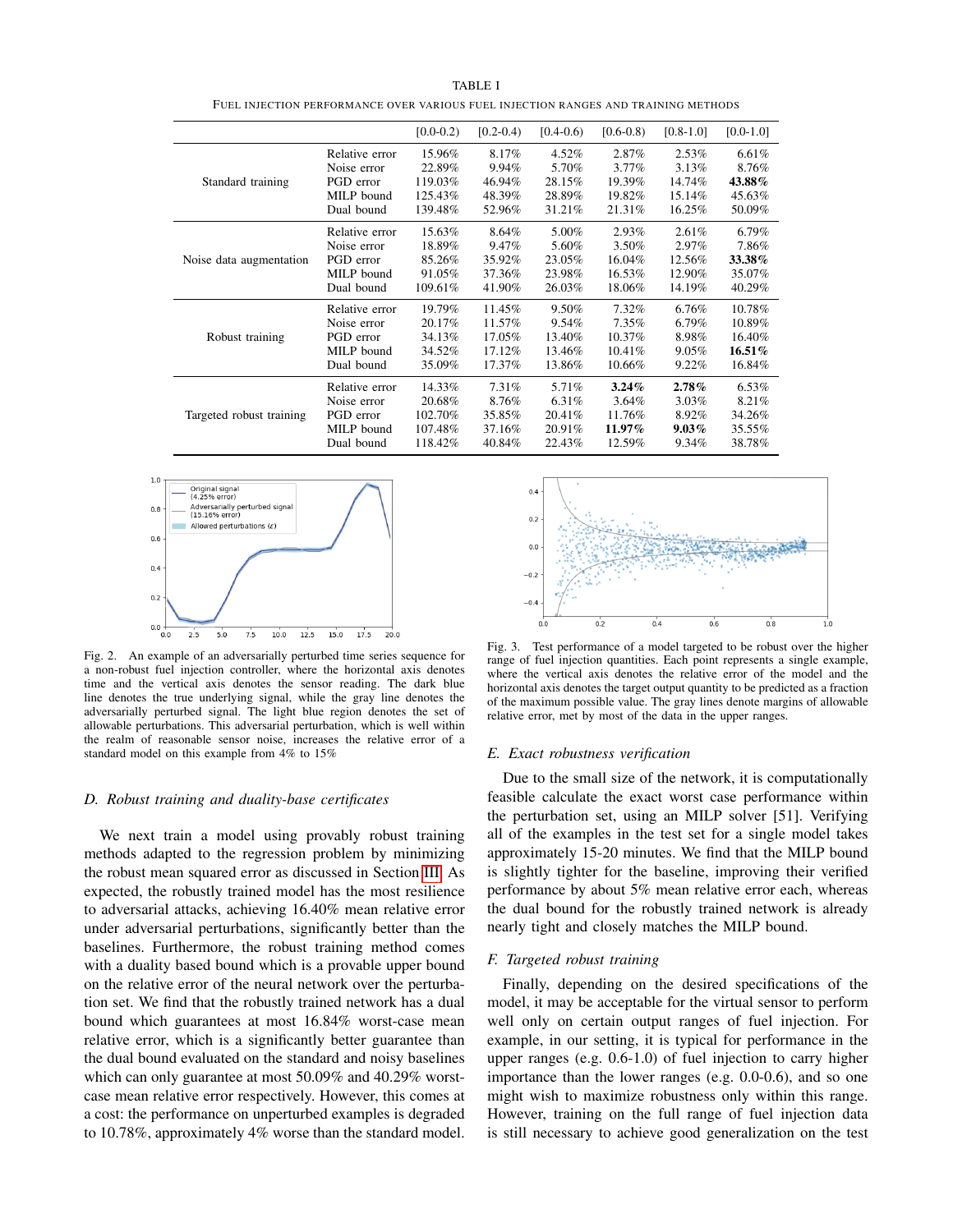<span id="page-3-0"></span>

|                          |                | $[0.0 - 0.2)$ | $[0.2 - 0.4]$ | $[0.4-0.6]$ | $[0.6-0.8)$ | $[0.8 - 1.0]$ | $[0.0 - 1.0]$ |
|--------------------------|----------------|---------------|---------------|-------------|-------------|---------------|---------------|
| Standard training        | Relative error | 15.96%        | 8.17%         | 4.52%       | 2.87%       | 2.53%         | 6.61%         |
|                          | Noise error    | 22.89%        | 9.94%         | 5.70%       | $3.77\%$    | 3.13%         | 8.76%         |
|                          | PGD error      | 119.03%       | 46.94%        | 28.15%      | 19.39%      | 14.74%        | 43.88%        |
|                          | MILP bound     | 125.43%       | 48.39%        | 28.89%      | 19.82%      | 15.14%        | 45.63%        |
|                          | Dual bound     | 139.48%       | 52.96%        | 31.21%      | 21.31%      | 16.25%        | 50.09%        |
| Noise data augmentation  | Relative error | 15.63%        | 8.64%         | 5.00%       | 2.93%       | 2.61%         | 6.79%         |
|                          | Noise error    | 18.89%        | 9.47%         | 5.60%       | 3.50%       | 2.97%         | 7.86%         |
|                          | PGD error      | 85.26%        | 35.92%        | 23.05%      | 16.04%      | 12.56%        | 33.38%        |
|                          | MILP bound     | 91.05%        | 37.36%        | 23.98%      | 16.53%      | 12.90%        | 35.07%        |
|                          | Dual bound     | 109.61%       | 41.90%        | 26.03%      | 18.06%      | 14.19%        | 40.29%        |
| Robust training          | Relative error | 19.79%        | 11.45%        | 9.50%       | $7.32\%$    | 6.76%         | 10.78%        |
|                          | Noise error    | 20.17%        | 11.57%        | 9.54%       | 7.35%       | 6.79%         | 10.89%        |
|                          | PGD error      | 34.13%        | 17.05%        | 13.40%      | 10.37%      | 8.98%         | 16.40%        |
|                          | MILP bound     | 34.52%        | 17.12%        | 13.46%      | 10.41%      | 9.05%         | $16.51\%$     |
|                          | Dual bound     | 35.09%        | 17.37%        | 13.86%      | 10.66%      | $9.22\%$      | 16.84%        |
| Targeted robust training | Relative error | 14.33%        | 7.31%         | 5.71%       | $3.24\%$    | $2.78\%$      | 6.53%         |
|                          | Noise error    | 20.68%        | 8.76%         | 6.31%       | 3.64%       | 3.03%         | 8.21%         |
|                          | PGD error      | 102.70%       | 35.85%        | 20.41%      | 11.76%      | 8.92%         | 34.26%        |
|                          | MILP bound     | 107.48%       | 37.16%        | 20.91%      | 11.97%      | $9.03\%$      | 35.55%        |
|                          | Dual bound     | 118.42%       | 40.84%        | 22.43%      | 12.59%      | 9.34%         | 38.78%        |

TABLE I FUEL INJECTION PERFORMANCE OVER VARIOUS FUEL INJECTION RANGES AND TRAINING METHODS



<span id="page-3-1"></span>Fig. 2. An example of an adversarially perturbed time series sequence for a non-robust fuel injection controller, where the horizontal axis denotes time and the vertical axis denotes the sensor reading. The dark blue line denotes the true underlying signal, while the gray line denotes the adversarially perturbed signal. The light blue region denotes the set of allowable perturbations. This adversarial perturbation, which is well within the realm of reasonable sensor noise, increases the relative error of a standard model on this example from 4% to 15%

#### *D. Robust training and duality-base certificates*

We next train a model using provably robust training methods adapted to the regression problem by minimizing the robust mean squared error as discussed in Section [III.](#page-1-0) As expected, the robustly trained model has the most resilience to adversarial attacks, achieving 16.40% mean relative error under adversarial perturbations, significantly better than the baselines. Furthermore, the robust training method comes with a duality based bound which is a provable upper bound on the relative error of the neural network over the perturbation set. We find that the robustly trained network has a dual bound which guarantees at most 16.84% worst-case mean relative error, which is a significantly better guarantee than the dual bound evaluated on the standard and noisy baselines which can only guarantee at most 50.09% and 40.29% worstcase mean relative error respectively. However, this comes at a cost: the performance on unperturbed examples is degraded to 10.78%, approximately 4% worse than the standard model.



<span id="page-3-2"></span>Fig. 3. Test performance of a model targeted to be robust over the higher range of fuel injection quantities. Each point represents a single example, where the vertical axis denotes the relative error of the model and the horizontal axis denotes the target output quantity to be predicted as a fraction of the maximum possible value. The gray lines denote margins of allowable relative error, met by most of the data in the upper ranges.

#### *E. Exact robustness verification*

Due to the small size of the network, it is computationally feasible calculate the exact worst case performance within the perturbation set, using an MILP solver [51]. Verifying all of the examples in the test set for a single model takes approximately 15-20 minutes. We find that the MILP bound is slightly tighter for the baseline, improving their verified performance by about 5% mean relative error each, whereas the dual bound for the robustly trained network is already nearly tight and closely matches the MILP bound.

## *F. Targeted robust training*

Finally, depending on the desired specifications of the model, it may be acceptable for the virtual sensor to perform well only on certain output ranges of fuel injection. For example, in our setting, it is typical for performance in the upper ranges (e.g. 0.6-1.0) of fuel injection to carry higher importance than the lower ranges (e.g. 0.0-0.6), and so one might wish to maximize robustness only within this range. However, training on the full range of fuel injection data is still necessary to achieve good generalization on the test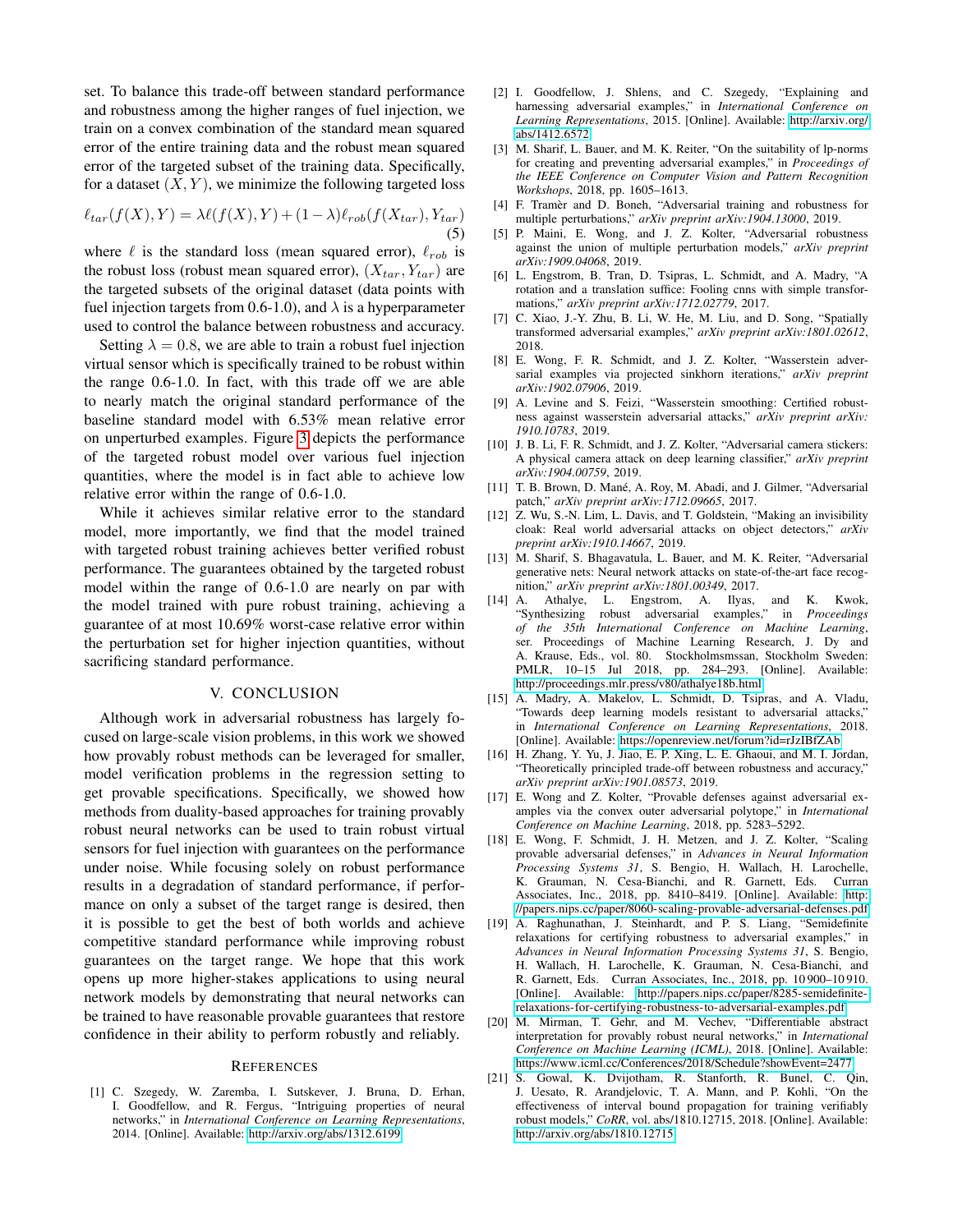set. To balance this trade-off between standard performance and robustness among the higher ranges of fuel injection, we train on a convex combination of the standard mean squared error of the entire training data and the robust mean squared error of the targeted subset of the training data. Specifically, for a dataset  $(X, Y)$ , we minimize the following targeted loss

$$
\ell_{tar}(f(X), Y) = \lambda \ell(f(X), Y) + (1 - \lambda)\ell_{rob}(f(X_{tar}), Y_{tar})
$$
\n(5)

where  $\ell$  is the standard loss (mean squared error),  $\ell_{rob}$  is the robust loss (robust mean squared error),  $(X_{tar}, Y_{tar})$  are the targeted subsets of the original dataset (data points with fuel injection targets from 0.6-1.0), and  $\lambda$  is a hyperparameter used to control the balance between robustness and accuracy.

Setting  $\lambda = 0.8$ , we are able to train a robust fuel injection virtual sensor which is specifically trained to be robust within the range 0.6-1.0. In fact, with this trade off we are able to nearly match the original standard performance of the baseline standard model with 6.53% mean relative error on unperturbed examples. Figure [3](#page-3-2) depicts the performance of the targeted robust model over various fuel injection quantities, where the model is in fact able to achieve low relative error within the range of 0.6-1.0.

While it achieves similar relative error to the standard model, more importantly, we find that the model trained with targeted robust training achieves better verified robust performance. The guarantees obtained by the targeted robust model within the range of 0.6-1.0 are nearly on par with the model trained with pure robust training, achieving a guarantee of at most 10.69% worst-case relative error within the perturbation set for higher injection quantities, without sacrificing standard performance.

# V. CONCLUSION

Although work in adversarial robustness has largely focused on large-scale vision problems, in this work we showed how provably robust methods can be leveraged for smaller, model verification problems in the regression setting to get provable specifications. Specifically, we showed how methods from duality-based approaches for training provably robust neural networks can be used to train robust virtual sensors for fuel injection with guarantees on the performance under noise. While focusing solely on robust performance results in a degradation of standard performance, if performance on only a subset of the target range is desired, then it is possible to get the best of both worlds and achieve competitive standard performance while improving robust guarantees on the target range. We hope that this work opens up more higher-stakes applications to using neural network models by demonstrating that neural networks can be trained to have reasonable provable guarantees that restore confidence in their ability to perform robustly and reliably.

#### **REFERENCES**

[1] C. Szegedy, W. Zaremba, I. Sutskever, J. Bruna, D. Erhan, I. Goodfellow, and R. Fergus, "Intriguing properties of neural networks," in *International Conference on Learning Representations*, 2014. [Online]. Available: http://arxiv.[org/abs/1312](http://arxiv.org/abs/1312.6199).6199

- [2] I. Goodfellow, J. Shlens, and C. Szegedy, "Explaining and harnessing adversarial examples," in *International Conference on Learning Representations*, 2015. [Online]. Available: [http://arxiv](http://arxiv.org/abs/1412.6572).org/ [abs/1412](http://arxiv.org/abs/1412.6572).6572
- [3] M. Sharif, L. Bauer, and M. K. Reiter, "On the suitability of lp-norms for creating and preventing adversarial examples," in *Proceedings of the IEEE Conference on Computer Vision and Pattern Recognition Workshops*, 2018, pp. 1605–1613.
- [4] F. Tramèr and D. Boneh, "Adversarial training and robustness for multiple perturbations," *arXiv preprint arXiv:1904.13000*, 2019.
- [5] P. Maini, E. Wong, and J. Z. Kolter, "Adversarial robustness against the union of multiple perturbation models," *arXiv preprint arXiv:1909.04068*, 2019.
- [6] L. Engstrom, B. Tran, D. Tsipras, L. Schmidt, and A. Madry, "A rotation and a translation suffice: Fooling cnns with simple transformations," *arXiv preprint arXiv:1712.02779*, 2017.
- [7] C. Xiao, J.-Y. Zhu, B. Li, W. He, M. Liu, and D. Song, "Spatially transformed adversarial examples," *arXiv preprint arXiv:1801.02612*, 2018.
- [8] E. Wong, F. R. Schmidt, and J. Z. Kolter, "Wasserstein adversarial examples via projected sinkhorn iterations," *arXiv preprint arXiv:1902.07906*, 2019.
- [9] A. Levine and S. Feizi, "Wasserstein smoothing: Certified robustness against wasserstein adversarial attacks," *arXiv preprint arXiv: 1910.10783*, 2019.
- [10] J. B. Li, F. R. Schmidt, and J. Z. Kolter, "Adversarial camera stickers: A physical camera attack on deep learning classifier," *arXiv preprint arXiv:1904.00759*, 2019.
- [11] T. B. Brown, D. Mané, A. Roy, M. Abadi, and J. Gilmer, "Adversarial patch," *arXiv preprint arXiv:1712.09665*, 2017.
- [12] Z. Wu, S.-N. Lim, L. Davis, and T. Goldstein, "Making an invisibility cloak: Real world adversarial attacks on object detectors," *arXiv preprint arXiv:1910.14667*, 2019.
- [13] M. Sharif, S. Bhagavatula, L. Bauer, and M. K. Reiter, "Adversarial generative nets: Neural network attacks on state-of-the-art face recognition," *arXiv preprint arXiv:1801.00349*, 2017.
- [14] A. Athalye, L. Engstrom, A. Ilyas, and K. Kwok, "Synthesizing robust adversarial examples," in *Proceedings of the 35th International Conference on Machine Learning*, ser. Proceedings of Machine Learning Research, J. Dy and A. Krause, Eds., vol. 80. Stockholmsmssan, Stockholm Sweden: PMLR, 10–15 Jul 2018, pp. 284–293. [Online]. Available: http://proceedings.mlr.[press/v80/athalye18b](http://proceedings.mlr.press/v80/athalye18b.html).html
- [15] A. Madry, A. Makelov, L. Schmidt, D. Tsipras, and A. Vladu, "Towards deep learning models resistant to adversarial attacks," in *International Conference on Learning Representations*, 2018. [Online]. Available: https://openreview.[net/forum?id=rJzIBfZAb](https://openreview.net/forum?id=rJzIBfZAb)
- [16] H. Zhang, Y. Yu, J. Jiao, E. P. Xing, L. E. Ghaoui, and M. I. Jordan, "Theoretically principled trade-off between robustness and accuracy," *arXiv preprint arXiv:1901.08573*, 2019.
- [17] E. Wong and Z. Kolter, "Provable defenses against adversarial examples via the convex outer adversarial polytope," in *International Conference on Machine Learning*, 2018, pp. 5283–5292.
- [18] E. Wong, F. Schmidt, J. H. Metzen, and J. Z. Kolter, "Scaling provable adversarial defenses," in *Advances in Neural Information Processing Systems 31*, S. Bengio, H. Wallach, H. Larochelle, K. Grauman, N. Cesa-Bianchi, and R. Garnett, Eds. Curran Associates, Inc., 2018, pp. 8410–8419. [Online]. Available: [http:](http://papers.nips.cc/paper/8060-scaling-provable-adversarial-defenses.pdf) //papers.nips.[cc/paper/8060-scaling-provable-adversarial-defenses](http://papers.nips.cc/paper/8060-scaling-provable-adversarial-defenses.pdf).pdf
- [19] A. Raghunathan, J. Steinhardt, and P. S. Liang, "Semidefinite relaxations for certifying robustness to adversarial examples," in *Advances in Neural Information Processing Systems 31*, S. Bengio, H. Wallach, H. Larochelle, K. Grauman, N. Cesa-Bianchi, and R. Garnett, Eds. Curran Associates, Inc., 2018, pp. 10 900–10 910. [Online]. Available: http://papers.nips.[cc/paper/8285-semidefinite](http://papers.nips.cc/paper/8285-semidefinite-relaxations-for-certifying-robustness-to-adversarial-examples.pdf)[relaxations-for-certifying-robustness-to-adversarial-examples](http://papers.nips.cc/paper/8285-semidefinite-relaxations-for-certifying-robustness-to-adversarial-examples.pdf).pdf
- [20] M. Mirman, T. Gehr, and M. Vechev, "Differentiable abstract interpretation for provably robust neural networks," in *International Conference on Machine Learning (ICML)*, 2018. [Online]. Available: https://www.icml.[cc/Conferences/2018/Schedule?showEvent=2477](https://www.icml.cc/Conferences/2018/Schedule?showEvent=2477)
- [21] S. Gowal, K. Dvijotham, R. Stanforth, R. Bunel, C. Qin, J. Uesato, R. Arandjelovic, T. A. Mann, and P. Kohli, "On the effectiveness of interval bound propagation for training verifiably robust models," *CoRR*, vol. abs/1810.12715, 2018. [Online]. Available: http://arxiv.[org/abs/1810](http://arxiv.org/abs/1810.12715).12715